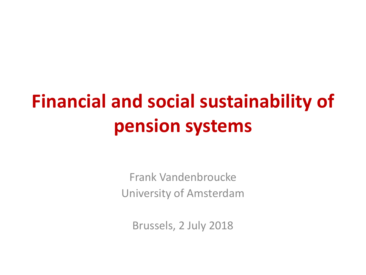# **Financial and social sustainability of pension systems**

Frank Vandenbroucke University of Amsterdam

Brussels, 2 July 2018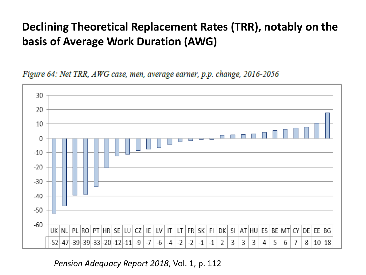## **Declining Theoretical Replacement Rates (TRR), notably on the basis of Average Work Duration (AWG)**

Figure 64: Net TRR, AWG case, men, average earner, p.p. change, 2016-2056



#### *Pension Adequacy Report 2018*, Vol. 1, p. 112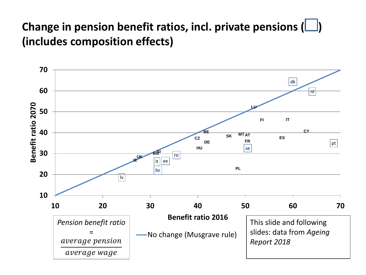## **Change in pension benefit ratios, incl. private pensions (** $\Box$ **) (includes composition effects)**

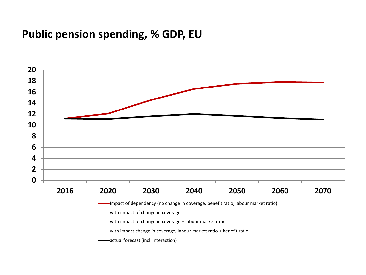#### **Public pension spending, % GDP, EU**

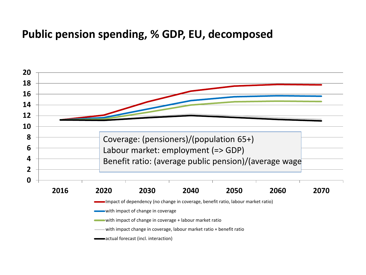#### **Public pension spending, % GDP, EU, decomposed**

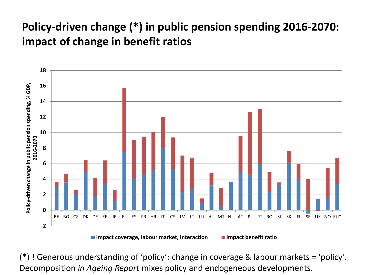## **Policy-driven change (\*) in public pension spending 2016-2070: impact of change in benefit ratios**



(\*) ! Generous understanding of 'policy': change in coverage & labour markets = 'policy'. Decomposition *in Ageing Report* mixes policy and endogeneous developments.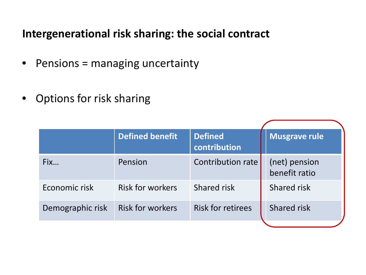#### **Intergenerational risk sharing: the social contract**

- Pensions = managing uncertainty
- Options for risk sharing

|                  | <b>Defined benefit</b>  | <b>Defined</b><br>contribution | <b>Musgrave rule</b>           |
|------------------|-------------------------|--------------------------------|--------------------------------|
| Fix              | Pension                 | Contribution rate              | (net) pension<br>benefit ratio |
| Economic risk    | <b>Risk for workers</b> | Shared risk                    | Shared risk                    |
| Demographic risk | <b>Risk for workers</b> | <b>Risk for retirees</b>       | Shared risk                    |
|                  |                         |                                |                                |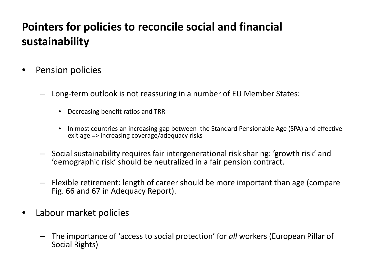## **Pointers for policies to reconcile social and financial sustainability**

- Pension policies
	- Long-term outlook is not reassuring in a number of EU Member States:
		- Decreasing benefit ratios and TRR
		- In most countries an increasing gap between the Standard Pensionable Age (SPA) and effective exit age => increasing coverage/adequacy risks
	- Social sustainability requires fair intergenerational risk sharing: 'growth risk' and 'demographic risk' should be neutralized in a fair pension contract.
	- Flexible retirement: length of career should be more important than age (compare Fig. 66 and 67 in Adequacy Report).
- Labour market policies
	- The importance of 'access to social protection' for *all* workers (European Pillar of Social Rights)